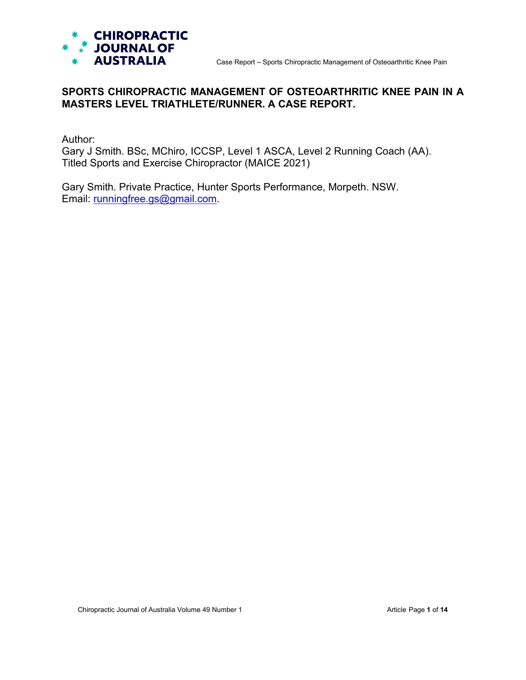

# **SPORTS CHIROPRACTIC MANAGEMENT OF OSTEOARTHRITIC KNEE PAIN IN A MASTERS LEVEL TRIATHLETE/RUNNER. A CASE REPORT.**

Author:

Gary J Smith. BSc, MChiro, ICCSP, Level 1 ASCA, Level 2 Running Coach (AA). Titled Sports and Exercise Chiropractor (MAICE 2021)

Gary Smith. Private Practice, Hunter Sports Performance, Morpeth. NSW. Email: [runningfree.gs@gmail.com.](mailto:runningfree.gs@gmail.com)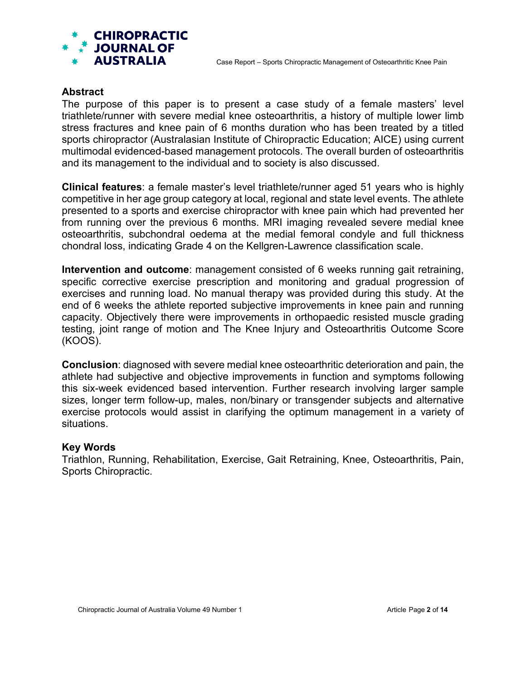

### **Abstract**

The purpose of this paper is to present a case study of a female masters' level triathlete/runner with severe medial knee osteoarthritis, a history of multiple lower limb stress fractures and knee pain of 6 months duration who has been treated by a titled sports chiropractor (Australasian Institute of Chiropractic Education; AICE) using current multimodal evidenced-based management protocols. The overall burden of osteoarthritis and its management to the individual and to society is also discussed.

**Clinical features**: a female master's level triathlete/runner aged 51 years who is highly competitive in her age group category at local, regional and state level events. The athlete presented to a sports and exercise chiropractor with knee pain which had prevented her from running over the previous 6 months. MRI imaging revealed severe medial knee osteoarthritis, subchondral oedema at the medial femoral condyle and full thickness chondral loss, indicating Grade 4 on the Kellgren-Lawrence classification scale.

**Intervention and outcome**: management consisted of 6 weeks running gait retraining, specific corrective exercise prescription and monitoring and gradual progression of exercises and running load. No manual therapy was provided during this study. At the end of 6 weeks the athlete reported subjective improvements in knee pain and running capacity. Objectively there were improvements in orthopaedic resisted muscle grading testing, joint range of motion and The Knee Injury and Osteoarthritis Outcome Score (KOOS).

**Conclusion**: diagnosed with severe medial knee osteoarthritic deterioration and pain, the athlete had subjective and objective improvements in function and symptoms following this six-week evidenced based intervention. Further research involving larger sample sizes, longer term follow-up, males, non/binary or transgender subjects and alternative exercise protocols would assist in clarifying the optimum management in a variety of situations.

#### **Key Words**

Triathlon, Running, Rehabilitation, Exercise, Gait Retraining, Knee, Osteoarthritis, Pain, Sports Chiropractic.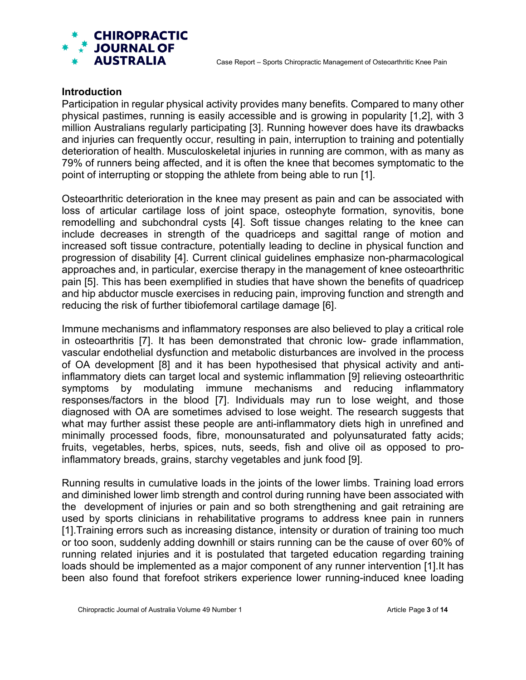

#### **Introduction**

Participation in regular physical activity provides many benefits. Compared to many other physical pastimes, running is easily accessible and is growing in popularity [1,2], with 3 million Australians regularly participating [3]. Running however does have its drawbacks and injuries can frequently occur, resulting in pain, interruption to training and potentially deterioration of health. Musculoskeletal injuries in running are common, with as many as 79% of runners being affected, and it is often the knee that becomes symptomatic to the point of interrupting or stopping the athlete from being able to run [1].

Osteoarthritic deterioration in the knee may present as pain and can be associated with loss of articular cartilage loss of joint space, osteophyte formation, synovitis, bone remodelling and subchondral cysts [4]. Soft tissue changes relating to the knee can include decreases in strength of the quadriceps and sagittal range of motion and increased soft tissue contracture, potentially leading to decline in physical function and progression of disability [4]. Current clinical guidelines emphasize non-pharmacological approaches and, in particular, exercise therapy in the management of knee osteoarthritic pain [5]. This has been exemplified in studies that have shown the benefits of quadricep and hip abductor muscle exercises in reducing pain, improving function and strength and reducing the risk of further tibiofemoral cartilage damage [6].

Immune mechanisms and inflammatory responses are also believed to play a critical role in osteoarthritis [7]. It has been demonstrated that chronic low- grade inflammation, vascular endothelial dysfunction and metabolic disturbances are involved in the process of OA development [8] and it has been hypothesised that physical activity and antiinflammatory diets can target local and systemic inflammation [9] relieving osteoarthritic symptoms by modulating immune mechanisms and reducing inflammatory responses/factors in the blood [7]. Individuals may run to lose weight, and those diagnosed with OA are sometimes advised to lose weight. The research suggests that what may further assist these people are anti-inflammatory diets high in unrefined and minimally processed foods, fibre, monounsaturated and polyunsaturated fatty acids; fruits, vegetables, herbs, spices, nuts, seeds, fish and olive oil as opposed to proinflammatory breads, grains, starchy vegetables and junk food [9].

Running results in cumulative loads in the joints of the lower limbs. Training load errors and diminished lower limb strength and control during running have been associated with the development of injuries or pain and so both strengthening and gait retraining are used by sports clinicians in rehabilitative programs to address knee pain in runners [1].Training errors such as increasing distance, intensity or duration of training too much or too soon, suddenly adding downhill or stairs running can be the cause of over 60% of running related injuries and it is postulated that targeted education regarding training loads should be implemented as a major component of any runner intervention [1].It has been also found that forefoot strikers experience lower running-induced knee loading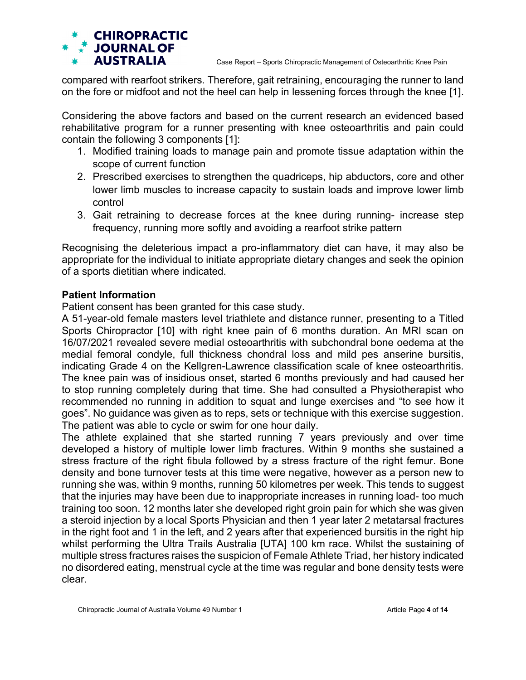

compared with rearfoot strikers. Therefore, gait retraining, encouraging the runner to land on the fore or midfoot and not the heel can help in lessening forces through the knee [1].

Considering the above factors and based on the current research an evidenced based rehabilitative program for a runner presenting with knee osteoarthritis and pain could contain the following 3 components [1]:

- 1. Modified training loads to manage pain and promote tissue adaptation within the scope of current function
- 2. Prescribed exercises to strengthen the quadriceps, hip abductors, core and other lower limb muscles to increase capacity to sustain loads and improve lower limb control
- 3. Gait retraining to decrease forces at the knee during running- increase step frequency, running more softly and avoiding a rearfoot strike pattern

Recognising the deleterious impact a pro-inflammatory diet can have, it may also be appropriate for the individual to initiate appropriate dietary changes and seek the opinion of a sports dietitian where indicated.

## **Patient Information**

Patient consent has been granted for this case study.

A 51-year-old female masters level triathlete and distance runner, presenting to a Titled Sports Chiropractor [10] with right knee pain of 6 months duration. An MRI scan on 16/07/2021 revealed severe medial osteoarthritis with subchondral bone oedema at the medial femoral condyle, full thickness chondral loss and mild pes anserine bursitis, indicating Grade 4 on the Kellgren-Lawrence classification scale of knee osteoarthritis. The knee pain was of insidious onset, started 6 months previously and had caused her to stop running completely during that time. She had consulted a Physiotherapist who recommended no running in addition to squat and lunge exercises and "to see how it goes". No guidance was given as to reps, sets or technique with this exercise suggestion. The patient was able to cycle or swim for one hour daily.

The athlete explained that she started running 7 years previously and over time developed a history of multiple lower limb fractures. Within 9 months she sustained a stress fracture of the right fibula followed by a stress fracture of the right femur. Bone density and bone turnover tests at this time were negative, however as a person new to running she was, within 9 months, running 50 kilometres per week. This tends to suggest that the injuries may have been due to inappropriate increases in running load- too much training too soon. 12 months later she developed right groin pain for which she was given a steroid injection by a local Sports Physician and then 1 year later 2 metatarsal fractures in the right foot and 1 in the left, and 2 years after that experienced bursitis in the right hip whilst performing the Ultra Trails Australia [UTA] 100 km race. Whilst the sustaining of multiple stress fractures raises the suspicion of Female Athlete Triad, her history indicated no disordered eating, menstrual cycle at the time was regular and bone density tests were clear.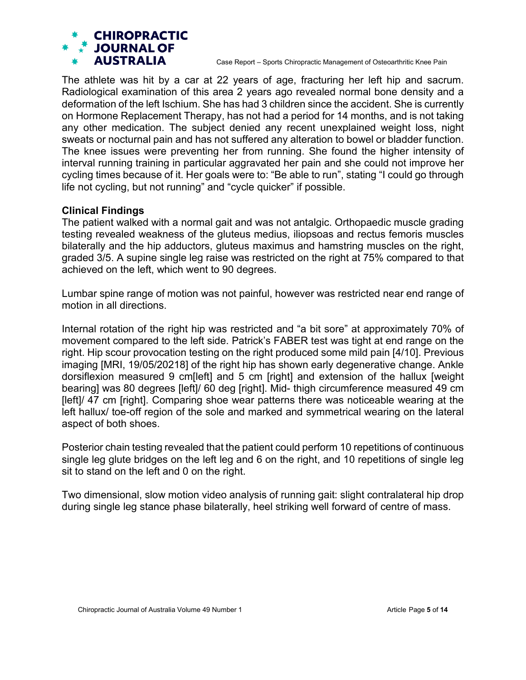Case Report – Sports Chiropractic Management of Osteoarthritic Knee Pain

The athlete was hit by a car at 22 years of age, fracturing her left hip and sacrum. Radiological examination of this area 2 years ago revealed normal bone density and a deformation of the left Ischium. She has had 3 children since the accident. She is currently on Hormone Replacement Therapy, has not had a period for 14 months, and is not taking any other medication. The subject denied any recent unexplained weight loss, night sweats or nocturnal pain and has not suffered any alteration to bowel or bladder function. The knee issues were preventing her from running. She found the higher intensity of interval running training in particular aggravated her pain and she could not improve her cycling times because of it. Her goals were to: "Be able to run", stating "I could go through life not cycling, but not running" and "cycle quicker" if possible.

## **Clinical Findings**

The patient walked with a normal gait and was not antalgic. Orthopaedic muscle grading testing revealed weakness of the gluteus medius, iliopsoas and rectus femoris muscles bilaterally and the hip adductors, gluteus maximus and hamstring muscles on the right, graded 3/5. A supine single leg raise was restricted on the right at 75% compared to that achieved on the left, which went to 90 degrees.

Lumbar spine range of motion was not painful, however was restricted near end range of motion in all directions.

Internal rotation of the right hip was restricted and "a bit sore" at approximately 70% of movement compared to the left side. Patrick's FABER test was tight at end range on the right. Hip scour provocation testing on the right produced some mild pain [4/10]. Previous imaging [MRI, 19/05/20218] of the right hip has shown early degenerative change. Ankle dorsiflexion measured 9 cm[left] and 5 cm [right] and extension of the hallux [weight bearing] was 80 degrees [left]/ 60 deg [right]. Mid- thigh circumference measured 49 cm [left]/ 47 cm [right]. Comparing shoe wear patterns there was noticeable wearing at the left hallux/ toe-off region of the sole and marked and symmetrical wearing on the lateral aspect of both shoes.

Posterior chain testing revealed that the patient could perform 10 repetitions of continuous single leg glute bridges on the left leg and 6 on the right, and 10 repetitions of single leg sit to stand on the left and 0 on the right.

Two dimensional, slow motion video analysis of running gait: slight contralateral hip drop during single leg stance phase bilaterally, heel striking well forward of centre of mass.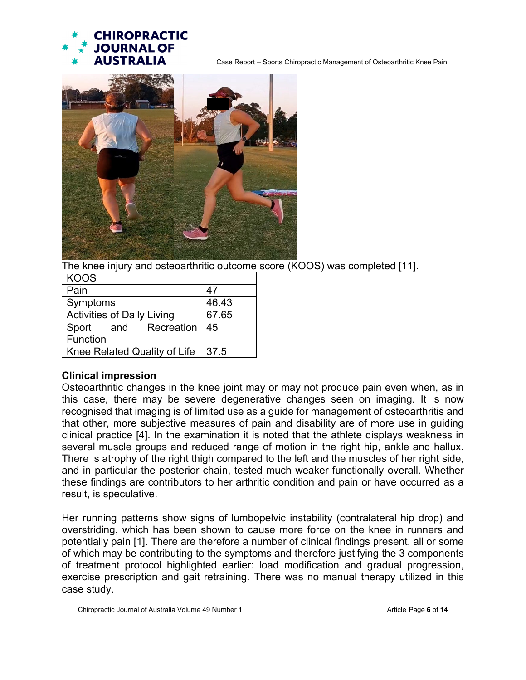



The knee injury and osteoarthritic outcome score (KOOS) was completed [11].

| KOOS                         |       |
|------------------------------|-------|
| Pain                         | 47    |
| Symptoms                     | 46.43 |
| Activities of Daily Living   | 67.65 |
| Recreation<br>Sport<br>and   | 45    |
| Function                     |       |
| Knee Related Quality of Life | 37.5  |

## **Clinical impression**

Osteoarthritic changes in the knee joint may or may not produce pain even when, as in this case, there may be severe degenerative changes seen on imaging. It is now recognised that imaging is of limited use as a guide for management of osteoarthritis and that other, more subjective measures of pain and disability are of more use in guiding clinical practice [4]. In the examination it is noted that the athlete displays weakness in several muscle groups and reduced range of motion in the right hip, ankle and hallux. There is atrophy of the right thigh compared to the left and the muscles of her right side. and in particular the posterior chain, tested much weaker functionally overall. Whether these findings are contributors to her arthritic condition and pain or have occurred as a result, is speculative.

Her running patterns show signs of lumbopelvic instability (contralateral hip drop) and overstriding, which has been shown to cause more force on the knee in runners and potentially pain [1]. There are therefore a number of clinical findings present, all or some of which may be contributing to the symptoms and therefore justifying the 3 components of treatment protocol highlighted earlier: load modification and gradual progression, exercise prescription and gait retraining. There was no manual therapy utilized in this case study.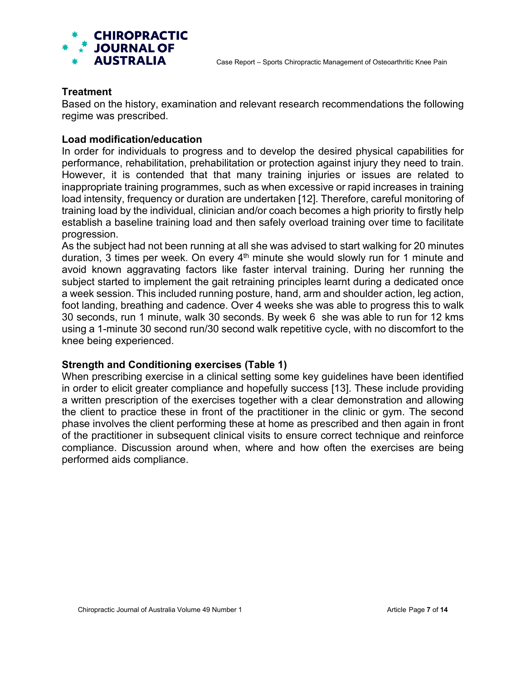

### **Treatment**

Based on the history, examination and relevant research recommendations the following regime was prescribed.

### **Load modification/education**

In order for individuals to progress and to develop the desired physical capabilities for performance, rehabilitation, prehabilitation or protection against injury they need to train. However, it is contended that that many training injuries or issues are related to inappropriate training programmes, such as when excessive or rapid increases in training load intensity, frequency or duration are undertaken [12]. Therefore, careful monitoring of training load by the individual, clinician and/or coach becomes a high priority to firstly help establish a baseline training load and then safely overload training over time to facilitate progression.

As the subject had not been running at all she was advised to start walking for 20 minutes duration, 3 times per week. On every  $4<sup>th</sup>$  minute she would slowly run for 1 minute and avoid known aggravating factors like faster interval training. During her running the subject started to implement the gait retraining principles learnt during a dedicated once a week session. This included running posture, hand, arm and shoulder action, leg action, foot landing, breathing and cadence. Over 4 weeks she was able to progress this to walk 30 seconds, run 1 minute, walk 30 seconds. By week 6 she was able to run for 12 kms using a 1-minute 30 second run/30 second walk repetitive cycle, with no discomfort to the knee being experienced.

#### **Strength and Conditioning exercises (Table 1)**

When prescribing exercise in a clinical setting some key guidelines have been identified in order to elicit greater compliance and hopefully success [13]. These include providing a written prescription of the exercises together with a clear demonstration and allowing the client to practice these in front of the practitioner in the clinic or gym. The second phase involves the client performing these at home as prescribed and then again in front of the practitioner in subsequent clinical visits to ensure correct technique and reinforce compliance. Discussion around when, where and how often the exercises are being performed aids compliance.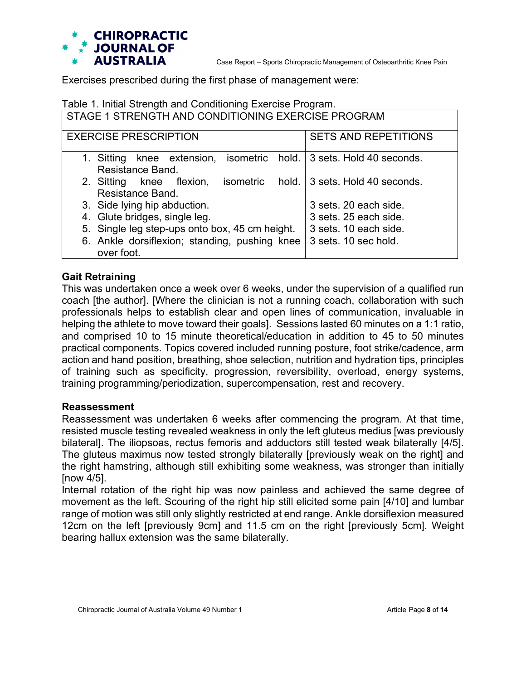

Exercises prescribed during the first phase of management were:

### Table 1. Initial Strength and Conditioning Exercise Program.

STAGE 1 STRENGTH AND CONDITIONING EXERCISE PROGRAM

| <b>EXERCISE PRESCRIPTION</b>                                           | <b>SETS AND REPETITIONS</b> |
|------------------------------------------------------------------------|-----------------------------|
| knee extension, isometric hold. 3 sets. Hold 40 seconds.<br>1. Sitting |                             |
| Resistance Band.                                                       |                             |
| 2. Sitting knee flexion, isometric hold. 3 sets. Hold 40 seconds.      |                             |
| Resistance Band.                                                       |                             |
| 3. Side lying hip abduction.                                           | 3 sets. 20 each side.       |
| 4. Glute bridges, single leg.                                          | 3 sets, 25 each side.       |
| 5. Single leg step-ups onto box, 45 cm height.                         | 3 sets, 10 each side.       |
| 6. Ankle dorsiflexion; standing, pushing knee                          | 3 sets. 10 sec hold.        |
| over foot.                                                             |                             |

# **Gait Retraining**

This was undertaken once a week over 6 weeks, under the supervision of a qualified run coach [the author]. [Where the clinician is not a running coach, collaboration with such professionals helps to establish clear and open lines of communication, invaluable in helping the athlete to move toward their goals]. Sessions lasted 60 minutes on a 1:1 ratio, and comprised 10 to 15 minute theoretical/education in addition to 45 to 50 minutes practical components. Topics covered included running posture, foot strike/cadence, arm action and hand position, breathing, shoe selection, nutrition and hydration tips, principles of training such as specificity, progression, reversibility, overload, energy systems, training programming/periodization, supercompensation, rest and recovery.

#### **Reassessment**

Reassessment was undertaken 6 weeks after commencing the program. At that time, resisted muscle testing revealed weakness in only the left gluteus medius [was previously bilateral]. The iliopsoas, rectus femoris and adductors still tested weak bilaterally [4/5]. The gluteus maximus now tested strongly bilaterally [previously weak on the right] and the right hamstring, although still exhibiting some weakness, was stronger than initially [now 4/5].

Internal rotation of the right hip was now painless and achieved the same degree of movement as the left. Scouring of the right hip still elicited some pain [4/10] and lumbar range of motion was still only slightly restricted at end range. Ankle dorsiflexion measured 12cm on the left [previously 9cm] and 11.5 cm on the right [previously 5cm]. Weight bearing hallux extension was the same bilaterally.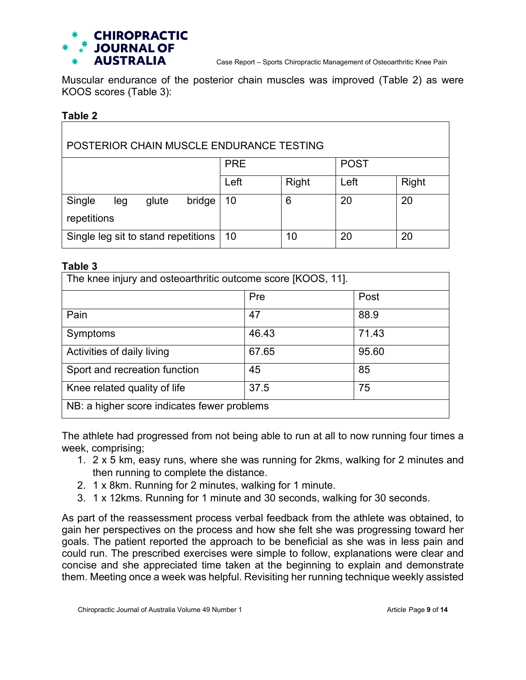

Muscular endurance of the posterior chain muscles was improved (Table 2) as were KOOS scores (Table 3):

#### **Table 2**

| POSTERIOR CHAIN MUSCLE ENDURANCE TESTING        |            |       |             |              |
|-------------------------------------------------|------------|-------|-------------|--------------|
|                                                 | <b>PRE</b> |       | <b>POST</b> |              |
|                                                 | Left       | Right | Left        | <b>Right</b> |
| Single<br>bridge<br>glute<br>leg<br>repetitions | 10         | 6     | 20          | 20           |
| Single leg sit to stand repetitions             | 10         | 10    | 20          | 20           |

#### **Table 3**

| The knee injury and osteoarthritic outcome score [KOOS, 11]. |       |       |
|--------------------------------------------------------------|-------|-------|
|                                                              | Pre   | Post  |
| Pain                                                         | 47    | 88.9  |
| Symptoms                                                     | 46.43 | 71.43 |
| Activities of daily living                                   | 67.65 | 95.60 |
| Sport and recreation function                                | 45    | 85    |
| Knee related quality of life                                 | 37.5  | 75    |
| NB: a higher score indicates fewer problems                  |       |       |

The athlete had progressed from not being able to run at all to now running four times a week, comprising;

- 1. 2 x 5 km, easy runs, where she was running for 2kms, walking for 2 minutes and then running to complete the distance.
- 2. 1 x 8km. Running for 2 minutes, walking for 1 minute.
- 3. 1 x 12kms. Running for 1 minute and 30 seconds, walking for 30 seconds.

As part of the reassessment process verbal feedback from the athlete was obtained, to gain her perspectives on the process and how she felt she was progressing toward her goals. The patient reported the approach to be beneficial as she was in less pain and could run. The prescribed exercises were simple to follow, explanations were clear and concise and she appreciated time taken at the beginning to explain and demonstrate them. Meeting once a week was helpful. Revisiting her running technique weekly assisted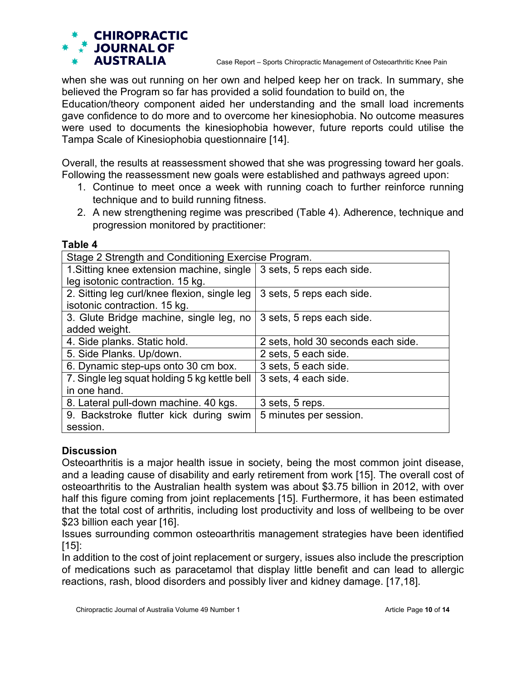

when she was out running on her own and helped keep her on track. In summary, she believed the Program so far has provided a solid foundation to build on, the

Education/theory component aided her understanding and the small load increments gave confidence to do more and to overcome her kinesiophobia. No outcome measures were used to documents the kinesiophobia however, future reports could utilise the Tampa Scale of Kinesiophobia questionnaire [14].

Overall, the results at reassessment showed that she was progressing toward her goals. Following the reassessment new goals were established and pathways agreed upon:

- 1. Continue to meet once a week with running coach to further reinforce running technique and to build running fitness.
- 2. A new strengthening regime was prescribed (Table 4). Adherence, technique and progression monitored by practitioner:

| Stage 2 Strength and Conditioning Exercise Program. |                                    |  |
|-----------------------------------------------------|------------------------------------|--|
| 1. Sitting knee extension machine, single           | 3 sets, 5 reps each side.          |  |
| leg isotonic contraction. 15 kg.                    |                                    |  |
| 2. Sitting leg curl/knee flexion, single leg        | 3 sets, 5 reps each side.          |  |
| isotonic contraction. 15 kg.                        |                                    |  |
| 3. Glute Bridge machine, single leg, no             | 3 sets, 5 reps each side.          |  |
| added weight.                                       |                                    |  |
| 4. Side planks. Static hold.                        | 2 sets, hold 30 seconds each side. |  |
| 5. Side Planks. Up/down.                            | 2 sets, 5 each side.               |  |
| 6. Dynamic step-ups onto 30 cm box.                 | 3 sets, 5 each side.               |  |
| 7. Single leg squat holding 5 kg kettle bell        | 3 sets, 4 each side.               |  |
| in one hand.                                        |                                    |  |
| 8. Lateral pull-down machine. 40 kgs.               | 3 sets, 5 reps.                    |  |
| 9. Backstroke flutter kick during swim              | 5 minutes per session.             |  |
| session.                                            |                                    |  |

### **Table 4**

## **Discussion**

Osteoarthritis is a major health issue in society, being the most common joint disease, and a leading cause of disability and early retirement from work [15]. The overall cost of osteoarthritis to the Australian health system was about \$3.75 billion in 2012, with over half this figure coming from joint replacements [15]. Furthermore, it has been estimated that the total cost of arthritis, including lost productivity and loss of wellbeing to be over \$23 billion each year [16].

Issues surrounding common osteoarthritis management strategies have been identified  $[15]$ :

In addition to the cost of joint replacement or surgery, issues also include the prescription of medications such as paracetamol that display little benefit and can lead to allergic reactions, rash, blood disorders and possibly liver and kidney damage. [17,18].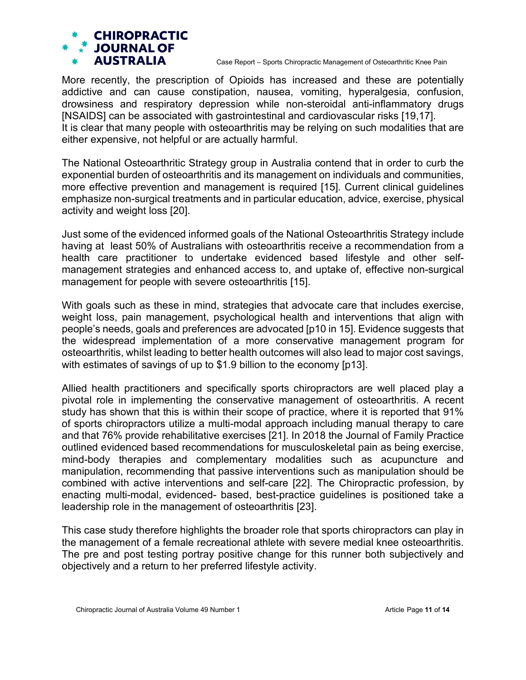Case Report – Sports Chiropractic Management of Osteoarthritic Knee Pain

More recently, the prescription of Opioids has increased and these are potentially addictive and can cause constipation, nausea, vomiting, hyperalgesia, confusion, drowsiness and respiratory depression while non-steroidal anti-inflammatory drugs [NSAIDS] can be associated with gastrointestinal and cardiovascular risks [19,17]. It is clear that many people with osteoarthritis may be relying on such modalities that are either expensive, not helpful or are actually harmful.

The National Osteoarthritic Strategy group in Australia contend that in order to curb the exponential burden of osteoarthritis and its management on individuals and communities, more effective prevention and management is required [15]. Current clinical guidelines emphasize non-surgical treatments and in particular education, advice, exercise, physical activity and weight loss [20].

Just some of the evidenced informed goals of the National Osteoarthritis Strategy include having at least 50% of Australians with osteoarthritis receive a recommendation from a health care practitioner to undertake evidenced based lifestyle and other selfmanagement strategies and enhanced access to, and uptake of, effective non-surgical management for people with severe osteoarthritis [15].

With goals such as these in mind, strategies that advocate care that includes exercise, weight loss, pain management, psychological health and interventions that align with people's needs, goals and preferences are advocated [p10 in 15]. Evidence suggests that the widespread implementation of a more conservative management program for osteoarthritis, whilst leading to better health outcomes will also lead to major cost savings, with estimates of savings of up to \$1.9 billion to the economy [p13].

Allied health practitioners and specifically sports chiropractors are well placed play a pivotal role in implementing the conservative management of osteoarthritis. A recent study has shown that this is within their scope of practice, where it is reported that 91% of sports chiropractors utilize a multi-modal approach including manual therapy to care and that 76% provide rehabilitative exercises [21]. In 2018 the Journal of Family Practice outlined evidenced based recommendations for musculoskeletal pain as being exercise, mind-body therapies and complementary modalities such as acupuncture and manipulation, recommending that passive interventions such as manipulation should be combined with active interventions and self-care [22]. The Chiropractic profession, by enacting multi-modal, evidenced- based, best-practice guidelines is positioned take a leadership role in the management of osteoarthritis [23].

This case study therefore highlights the broader role that sports chiropractors can play in the management of a female recreational athlete with severe medial knee osteoarthritis. The pre and post testing portray positive change for this runner both subjectively and objectively and a return to her preferred lifestyle activity.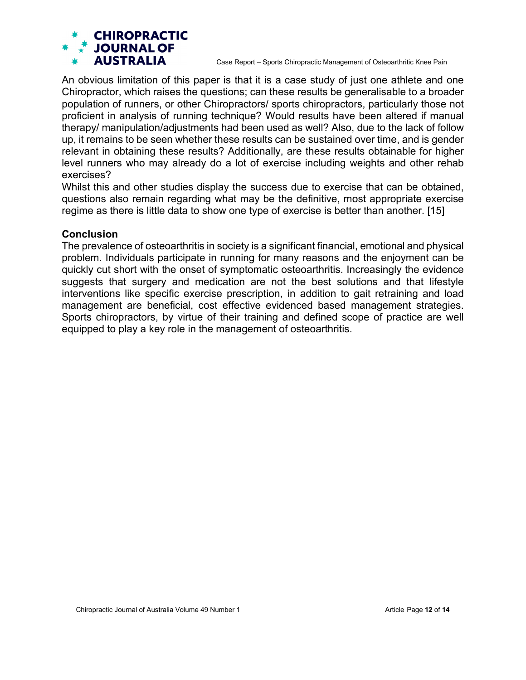Case Report – Sports Chiropractic Management of Osteoarthritic Knee Pain

An obvious limitation of this paper is that it is a case study of just one athlete and one Chiropractor, which raises the questions; can these results be generalisable to a broader population of runners, or other Chiropractors/ sports chiropractors, particularly those not proficient in analysis of running technique? Would results have been altered if manual therapy/ manipulation/adjustments had been used as well? Also, due to the lack of follow up, it remains to be seen whether these results can be sustained over time, and is gender relevant in obtaining these results? Additionally, are these results obtainable for higher level runners who may already do a lot of exercise including weights and other rehab exercises?

Whilst this and other studies display the success due to exercise that can be obtained, questions also remain regarding what may be the definitive, most appropriate exercise regime as there is little data to show one type of exercise is better than another. [15]

### **Conclusion**

The prevalence of osteoarthritis in society is a significant financial, emotional and physical problem. Individuals participate in running for many reasons and the enjoyment can be quickly cut short with the onset of symptomatic osteoarthritis. Increasingly the evidence suggests that surgery and medication are not the best solutions and that lifestyle interventions like specific exercise prescription, in addition to gait retraining and load management are beneficial, cost effective evidenced based management strategies. Sports chiropractors, by virtue of their training and defined scope of practice are well equipped to play a key role in the management of osteoarthritis.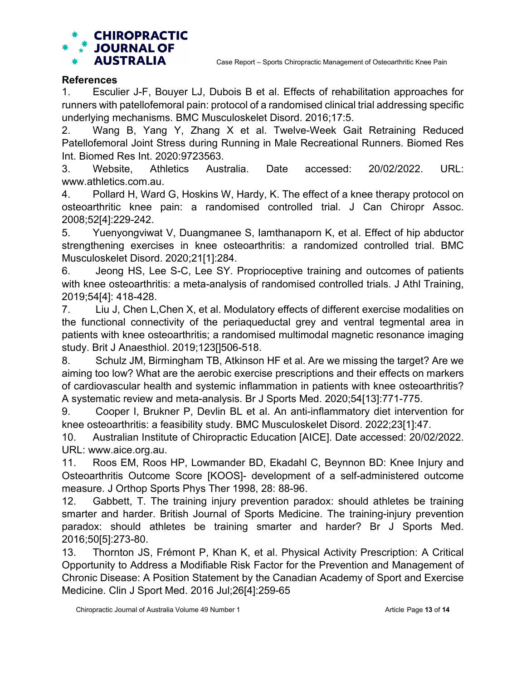

## **References**

1. Esculier J-F, Bouyer LJ, Dubois B et al. Effects of rehabilitation approaches for runners with patellofemoral pain: protocol of a randomised clinical trial addressing specific underlying mechanisms. BMC Musculoskelet Disord. 2016;17:5.

2. Wang B, Yang Y, Zhang X et al. Twelve-Week Gait Retraining Reduced Patellofemoral Joint Stress during Running in Male Recreational Runners. Biomed Res Int. Biomed Res Int. 2020:9723563.

3. Website, Athletics Australia. Date accessed: 20/02/2022. URL: www.athletics.com.au.

4. Pollard H, Ward G, Hoskins W, Hardy, K. The effect of a knee therapy protocol on osteoarthritic knee pain: a randomised controlled trial. J Can Chiropr Assoc. 2008;52[4]:229-242.

5. Yuenyongviwat V, Duangmanee S, Iamthanaporn K, et al. Effect of hip abductor strengthening exercises in knee osteoarthritis: a randomized controlled trial. BMC Musculoskelet Disord. 2020;21[1]:284.

6. Jeong HS, Lee S-C, Lee SY. Proprioceptive training and outcomes of patients with knee osteoarthritis: a meta-analysis of randomised controlled trials. J Athl Training, 2019;54[4]: 418-428.

7. Liu J, Chen L,Chen X, et al. Modulatory effects of different exercise modalities on the functional connectivity of the periaqueductal grey and ventral tegmental area in patients with knee osteoarthritis; a randomised multimodal magnetic resonance imaging study. Brit J Anaesthiol. 2019;123[]506-518.

8. Schulz JM, Birmingham TB, Atkinson HF et al. Are we missing the target? Are we aiming too low? What are the aerobic exercise prescriptions and their effects on markers of cardiovascular health and systemic inflammation in patients with knee osteoarthritis? A systematic review and meta-analysis. Br J Sports Med. 2020;54[13]:771-775.

9. Cooper I, Brukner P, Devlin BL et al. An anti-inflammatory diet intervention for knee osteoarthritis: a feasibility study. BMC Musculoskelet Disord. 2022;23[1]:47.

10. Australian Institute of Chiropractic Education [AICE]. Date accessed: 20/02/2022. URL: www.aice.org.au.

11. Roos EM, Roos HP, Lowmander BD, Ekadahl C, Beynnon BD: Knee Injury and Osteoarthritis Outcome Score [KOOS]- development of a self-administered outcome measure. J Orthop Sports Phys Ther 1998, 28: 88-96.

12. Gabbett, T. The training injury prevention paradox: should athletes be training smarter and harder. British Journal of Sports Medicine. The training-injury prevention paradox: should athletes be training smarter and harder? Br J Sports Med. 2016;50[5]:273-80.

13. Thornton JS, Frémont P, Khan K, et al. Physical Activity Prescription: A Critical Opportunity to Address a Modifiable Risk Factor for the Prevention and Management of Chronic Disease: A Position Statement by the Canadian Academy of Sport and Exercise Medicine. Clin J Sport Med. 2016 Jul;26[4]:259-65